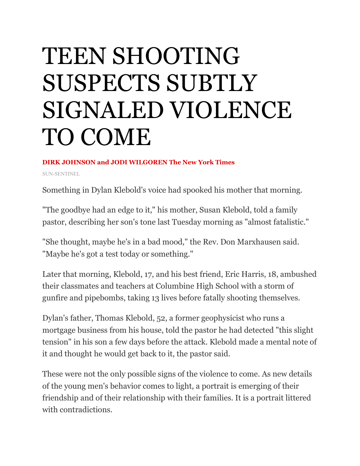## TEEN SHOOTING SUSPECTS SUBTLY SIGNALED VIOLENCE TO COME

## **DIRK JOHNSON and JODI WILGOREN The New York Times**

SUN-SENTINEL

Something in Dylan Klebold's voice had spooked his mother that morning.

"The goodbye had an edge to it," his mother, Susan Klebold, told a family pastor, describing her son's tone last Tuesday morning as "almost fatalistic."

"She thought, maybe he's in a bad mood," the Rev. Don Marxhausen said. "Maybe he's got a test today or something."

Later that morning, Klebold, 17, and his best friend, Eric Harris, 18, ambushed their classmates and teachers at Columbine High School with a storm of gunfire and pipebombs, taking 13 lives before fatally shooting themselves.

Dylan's father, Thomas Klebold, 52, a former geophysicist who runs a mortgage business from his house, told the pastor he had detected "this slight tension" in his son a few days before the attack. Klebold made a mental note of it and thought he would get back to it, the pastor said.

These were not the only possible signs of the violence to come. As new details of the young men's behavior comes to light, a portrait is emerging of their friendship and of their relationship with their families. It is a portrait littered with contradictions.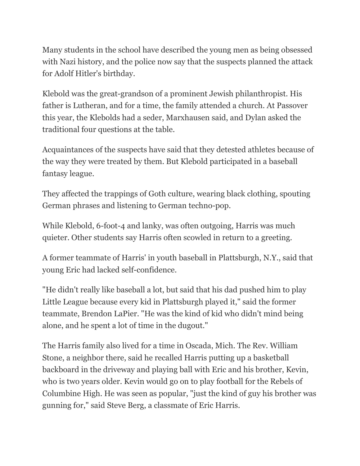Many students in the school have described the young men as being obsessed with Nazi history, and the police now say that the suspects planned the attack for Adolf Hitler's birthday.

Klebold was the great-grandson of a prominent Jewish philanthropist. His father is Lutheran, and for a time, the family attended a church. At Passover this year, the Klebolds had a seder, Marxhausen said, and Dylan asked the traditional four questions at the table.

Acquaintances of the suspects have said that they detested athletes because of the way they were treated by them. But Klebold participated in a baseball fantasy league.

They affected the trappings of Goth culture, wearing black clothing, spouting German phrases and listening to German techno-pop.

While Klebold, 6-foot-4 and lanky, was often outgoing, Harris was much quieter. Other students say Harris often scowled in return to a greeting.

A former teammate of Harris' in youth baseball in Plattsburgh, N.Y., said that young Eric had lacked self-confidence.

"He didn't really like baseball a lot, but said that his dad pushed him to play Little League because every kid in Plattsburgh played it," said the former teammate, Brendon LaPier. "He was the kind of kid who didn't mind being alone, and he spent a lot of time in the dugout."

The Harris family also lived for a time in Oscada, Mich. The Rev. William Stone, a neighbor there, said he recalled Harris putting up a basketball backboard in the driveway and playing ball with Eric and his brother, Kevin, who is two years older. Kevin would go on to play football for the Rebels of Columbine High. He was seen as popular, "just the kind of guy his brother was gunning for," said Steve Berg, a classmate of Eric Harris.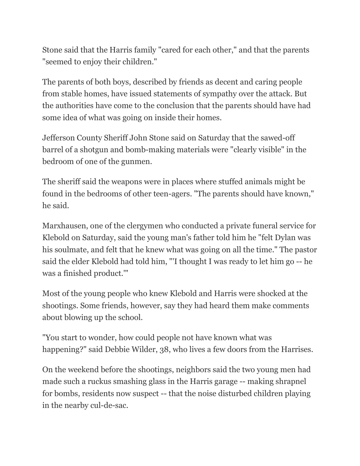Stone said that the Harris family "cared for each other," and that the parents "seemed to enjoy their children."

The parents of both boys, described by friends as decent and caring people from stable homes, have issued statements of sympathy over the attack. But the authorities have come to the conclusion that the parents should have had some idea of what was going on inside their homes.

Jefferson County Sheriff John Stone said on Saturday that the sawed-off barrel of a shotgun and bomb-making materials were "clearly visible" in the bedroom of one of the gunmen.

The sheriff said the weapons were in places where stuffed animals might be found in the bedrooms of other teen-agers. "The parents should have known," he said.

Marxhausen, one of the clergymen who conducted a private funeral service for Klebold on Saturday, said the young man's father told him he "felt Dylan was his soulmate, and felt that he knew what was going on all the time." The pastor said the elder Klebold had told him, "'I thought I was ready to let him go -- he was a finished product.'"

Most of the young people who knew Klebold and Harris were shocked at the shootings. Some friends, however, say they had heard them make comments about blowing up the school.

"You start to wonder, how could people not have known what was happening?" said Debbie Wilder, 38, who lives a few doors from the Harrises.

On the weekend before the shootings, neighbors said the two young men had made such a ruckus smashing glass in the Harris garage -- making shrapnel for bombs, residents now suspect -- that the noise disturbed children playing in the nearby cul-de-sac.